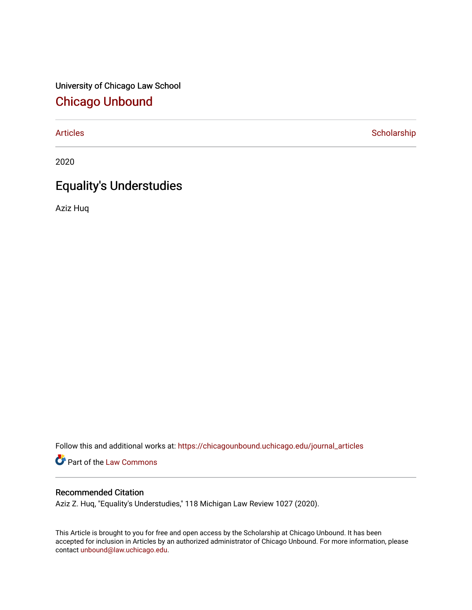University of Chicago Law School [Chicago Unbound](https://chicagounbound.uchicago.edu/)

[Articles](https://chicagounbound.uchicago.edu/journal_articles) **Scholarship** 

2020

# Equality's Understudies

Aziz Huq

Follow this and additional works at: [https://chicagounbound.uchicago.edu/journal\\_articles](https://chicagounbound.uchicago.edu/journal_articles?utm_source=chicagounbound.uchicago.edu%2Fjournal_articles%2F10160&utm_medium=PDF&utm_campaign=PDFCoverPages) 

Part of the [Law Commons](http://network.bepress.com/hgg/discipline/578?utm_source=chicagounbound.uchicago.edu%2Fjournal_articles%2F10160&utm_medium=PDF&utm_campaign=PDFCoverPages)

# Recommended Citation

Aziz Z. Huq, "Equality's Understudies," 118 Michigan Law Review 1027 (2020).

This Article is brought to you for free and open access by the Scholarship at Chicago Unbound. It has been accepted for inclusion in Articles by an authorized administrator of Chicago Unbound. For more information, please contact [unbound@law.uchicago.edu](mailto:unbound@law.uchicago.edu).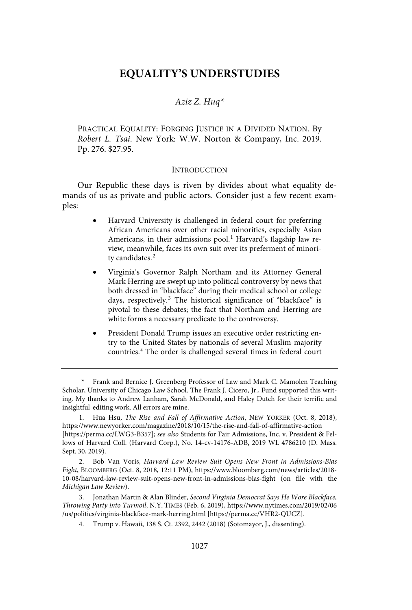# **EQUALITY'S UNDERSTUDIES**

## Aziz Z. Huq\*

PRACTICAL EQUALITY: FORGING JUSTICE IN A DIVIDED NATION. By Robert L. Tsai. New York: W.W. Norton & Company, Inc. 2019. Pp. 276. \$27.95.

#### **INTRODUCTION**

Our Republic these days is riven by divides about what equality demands of us as private and public actors. Consider just a few recent examples:

- Harvard University is challenged in federal court for preferring African Americans over other racial minorities, especially Asian Americans, in their admissions pool.<sup>1</sup> Harvard's flagship law review, meanwhile, faces its own suit over its preferment of minority candidates. 2
- Virginia's Governor Ralph Northam and its Attorney General Mark Herring are swept up into political controversy by news that both dressed in "blackface" during their medical school or college days, respectively.<sup>3</sup> The historical significance of "blackface" is pivotal to these debates; the fact that Northam and Herring are white forms a necessary predicate to the controversy.
- President Donald Trump issues an executive order restricting entry to the United States by nationals of several Muslim-majority countries.<sup>4</sup> The order is challenged several times in federal court

2. Bob Van Voris, Harvard Law Review Suit Opens New Front in Admissions-Bias Fight, BLOOMBERG (Oct. 8, 2018, 12:11 PM), https://www.bloomberg.com/news/articles/2018- 10-08/harvard-law-review-suit-opens-new-front-in-admissions-bias-fight (on file with the Michigan Law Review).

3. Jonathan Martin & Alan Blinder, Second Virginia Democrat Says He Wore Blackface, Throwing Party into Turmoil, N.Y. TIMES (Feb. 6, 2019), https://www.nytimes.com/2019/02/06 /us/politics/virginia-blackface-mark-herring.html [https://perma.cc/VHR2-QUCZ].

4. Trump v. Hawaii, 138 S. Ct. 2392, 2442 (2018) (Sotomayor, J., dissenting).

<sup>\*</sup> Frank and Bernice J. Greenberg Professor of Law and Mark C. Mamolen Teaching Scholar, University of Chicago Law School. The Frank J. Cicero, Jr., Fund supported this writing. My thanks to Andrew Lanham, Sarah McDonald, and Haley Dutch for their terrific and insightful editing work. All errors are mine.

Hua Hsu, The Rise and Fall of Affirmative Action, NEW YORKER (Oct. 8, 2018), https://www.newyorker.com/magazine/2018/10/15/the-rise-and-fall-of-affirmative-action [https://perma.cc/LWG3-B357]; see also Students for Fair Admissions, Inc. v. President & Fellows of Harvard Coll. (Harvard Corp.), No. 14-cv-14176-ADB, 2019 WL 4786210 (D. Mass. Sept. 30, 2019).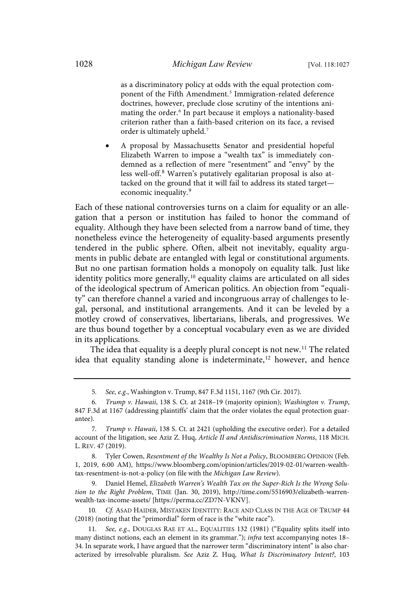as a discriminatory policy at odds with the equal protection component of the Fifth Amendment.<sup>5</sup> Immigration-related deference doctrines, however, preclude close scrutiny of the intentions animating the order.<sup>6</sup> In part because it employs a nationality-based criterion rather than a faith-based criterion on its face, a revised order is ultimately upheld.<sup>7</sup>

• A proposal by Massachusetts Senator and presidential hopeful Elizabeth Warren to impose a "wealth tax" is immediately condemned as a reflection of mere "resentment" and "envy" by the less well-off.<sup>8</sup> Warren's putatively egalitarian proposal is also attacked on the ground that it will fail to address its stated target economic inequality. 9

Each of these national controversies turns on a claim for equality or an allegation that a person or institution has failed to honor the command of equality. Although they have been selected from a narrow band of time, they nonetheless evince the heterogeneity of equality-based arguments presently tendered in the public sphere. Often, albeit not inevitably, equality arguments in public debate are entangled with legal or constitutional arguments. But no one partisan formation holds a monopoly on equality talk. Just like identity politics more generally,<sup>10</sup> equality claims are articulated on all sides of the ideological spectrum of American politics. An objection from "equality" can therefore channel a varied and incongruous array of challenges to legal, personal, and institutional arrangements. And it can be leveled by a motley crowd of conservatives, libertarians, liberals, and progressives. We are thus bound together by a conceptual vocabulary even as we are divided in its applications.

The idea that equality is a deeply plural concept is not new.<sup>11</sup> The related idea that equality standing alone is indeterminate, <sup>12</sup> however, and hence

8. Tyler Cowen, Resentment of the Wealthy Is Not a Policy, BLOOMBERG OPINION (Feb. 1, 2019, 6:00 AM), https://www.bloomberg.com/opinion/articles/2019-02-01/warren-wealthtax-resentment-is-not-a-policy (on file with the Michigan Law Review).

9. Daniel Hemel, Elizabeth Warren's Wealth Tax on the Super-Rich Is the Wrong Solution to the Right Problem, TIME (Jan. 30, 2019), http://time.com/5516903/elizabeth-warrenwealth-tax-income-assets/ [https://perma.cc/ZD7N-VKNV].

Cf. ASAD HAIDER, MISTAKEN IDENTITY: RACE AND CLASS IN THE AGE OF TRUMP 44 (2018) (noting that the "primordial" form of race is the "white race").

11. See, e.g., DOUGLAS RAE ET AL., EQUALITIES 132 (1981) ("Equality splits itself into many distinct notions, each an element in its grammar."); infra text accompanying notes 18-34. In separate work, I have argued that the narrower term "discriminatory intent" is also characterized by irresolvable pluralism. See Aziz Z. Huq, What Is Discriminatory Intent?, 103

<sup>5</sup>. See, e.g., Washington v. Trump, 847 F.3d 1151, 1167 (9th Cir. 2017).

<sup>6</sup>. Trump v. Hawaii, 138 S. Ct. at 2418–19 (majority opinion); Washington v. Trump, 847 F.3d at 1167 (addressing plaintiffs' claim that the order violates the equal protection guarantee).

<sup>7</sup>. Trump v. Hawaii, 138 S. Ct. at 2421 (upholding the executive order). For a detailed account of the litigation, see Aziz Z. Huq, Article II and Antidiscrimination Norms, 118 MICH. L. REV. 47 (2019).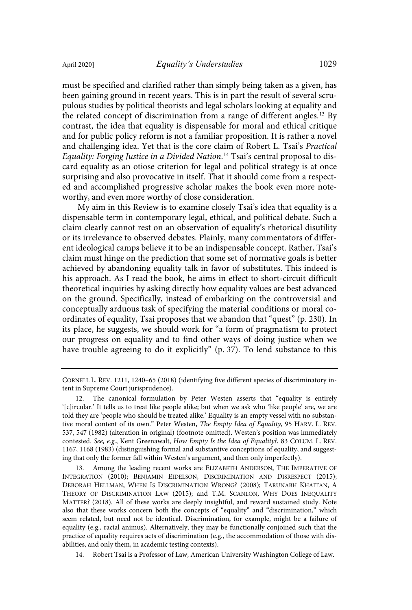must be specified and clarified rather than simply being taken as a given, has been gaining ground in recent years. This is in part the result of several scrupulous studies by political theorists and legal scholars looking at equality and the related concept of discrimination from a range of different angles.<sup>13</sup> By contrast, the idea that equality is dispensable for moral and ethical critique and for public policy reform is not a familiar proposition. It is rather a novel and challenging idea. Yet that is the core claim of Robert L. Tsai's Practical Equality: Forging Justice in a Divided Nation. <sup>14</sup> Tsai's central proposal to discard equality as an otiose criterion for legal and political strategy is at once surprising and also provocative in itself. That it should come from a respected and accomplished progressive scholar makes the book even more noteworthy, and even more worthy of close consideration.

My aim in this Review is to examine closely Tsai's idea that equality is a dispensable term in contemporary legal, ethical, and political debate. Such a claim clearly cannot rest on an observation of equality's rhetorical disutility or its irrelevance to observed debates. Plainly, many commentators of different ideological camps believe it to be an indispensable concept. Rather, Tsai's claim must hinge on the prediction that some set of normative goals is better achieved by abandoning equality talk in favor of substitutes. This indeed is his approach. As I read the book, he aims in effect to short-circuit difficult theoretical inquiries by asking directly how equality values are best advanced on the ground. Specifically, instead of embarking on the controversial and conceptually arduous task of specifying the material conditions or moral coordinates of equality, Tsai proposes that we abandon that "quest" (p. 230). In its place, he suggests, we should work for "a form of pragmatism to protect our progress on equality and to find other ways of doing justice when we have trouble agreeing to do it explicitly" (p. 37). To lend substance to this

14. Robert Tsai is a Professor of Law, American University Washington College of Law.

CORNELL L. REV. 1211, 1240–65 (2018) (identifying five different species of discriminatory intent in Supreme Court jurisprudence).

<sup>12.</sup> The canonical formulation by Peter Westen asserts that "equality is entirely '[c]ircular.' It tells us to treat like people alike; but when we ask who 'like people' are, we are told they are 'people who should be treated alike.' Equality is an empty vessel with no substantive moral content of its own." Peter Westen, The Empty Idea of Equality, 95 HARV. L. REV. 537, 547 (1982) (alteration in original) (footnote omitted). Westen's position was immediately contested. See, e.g., Kent Greenawalt, How Empty Is the Idea of Equality?, 83 COLUM. L. REV. 1167, 1168 (1983) (distinguishing formal and substantive conceptions of equality, and suggesting that only the former fall within Westen's argument, and then only imperfectly).

<sup>13.</sup> Among the leading recent works are ELIZABETH ANDERSON, THE IMPERATIVE OF INTEGRATION (2010); BENJAMIN EIDELSON, DISCRIMINATION AND DISRESPECT (2015); DEBORAH HELLMAN, WHEN IS DISCRIMINATION WRONG? (2008); TARUNABH KHAITAN, A THEORY OF DISCRIMINATION LAW (2015); and T.M. SCANLON, WHY DOES INEQUALITY MATTER? (2018). All of these works are deeply insightful, and reward sustained study. Note also that these works concern both the concepts of "equality" and "discrimination," which seem related, but need not be identical. Discrimination, for example, might be a failure of equality (e.g., racial animus). Alternatively, they may be functionally conjoined such that the practice of equality requires acts of discrimination (e.g., the accommodation of those with disabilities, and only them, in academic testing contexts).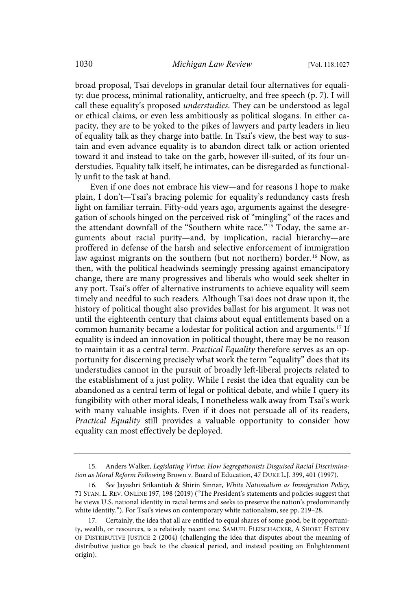broad proposal, Tsai develops in granular detail four alternatives for equality: due process, minimal rationality, anticruelty, and free speech (p. 7). I will call these equality's proposed understudies. They can be understood as legal or ethical claims, or even less ambitiously as political slogans. In either capacity, they are to be yoked to the pikes of lawyers and party leaders in lieu of equality talk as they charge into battle. In Tsai's view, the best way to sustain and even advance equality is to abandon direct talk or action oriented toward it and instead to take on the garb, however ill-suited, of its four understudies. Equality talk itself, he intimates, can be disregarded as functionally unfit to the task at hand.

Even if one does not embrace his view—and for reasons I hope to make plain, I don't—Tsai's bracing polemic for equality's redundancy casts fresh light on familiar terrain. Fifty-odd years ago, arguments against the desegregation of schools hinged on the perceived risk of "mingling" of the races and the attendant downfall of the "Southern white race."<sup>15</sup> Today, the same arguments about racial purity—and, by implication, racial hierarchy—are proffered in defense of the harsh and selective enforcement of immigration law against migrants on the southern (but not northern) border. <sup>16</sup> Now, as then, with the political headwinds seemingly pressing against emancipatory change, there are many progressives and liberals who would seek shelter in any port. Tsai's offer of alternative instruments to achieve equality will seem timely and needful to such readers. Although Tsai does not draw upon it, the history of political thought also provides ballast for his argument. It was not until the eighteenth century that claims about equal entitlements based on a common humanity became a lodestar for political action and arguments.<sup>17</sup> If equality is indeed an innovation in political thought, there may be no reason to maintain it as a central term. Practical Equality therefore serves as an opportunity for discerning precisely what work the term "equality" does that its understudies cannot in the pursuit of broadly left-liberal projects related to the establishment of a just polity. While I resist the idea that equality can be abandoned as a central term of legal or political debate, and while I query its fungibility with other moral ideals, I nonetheless walk away from Tsai's work with many valuable insights. Even if it does not persuade all of its readers, Practical Equality still provides a valuable opportunity to consider how equality can most effectively be deployed.

<sup>15.</sup> Anders Walker, Legislating Virtue: How Segregationists Disguised Racial Discrimination as Moral Reform Following Brown v. Board of Education, 47 DUKE L.J. 399, 401 (1997).

<sup>16</sup>. See Jayashri Srikantiah & Shirin Sinnar, White Nationalism as Immigration Policy, 71 STAN. L. REV. ONLINE 197, 198 (2019) ("The President's statements and policies suggest that he views U.S. national identity in racial terms and seeks to preserve the nation's predominantly white identity."). For Tsai's views on contemporary white nationalism, see pp. 219–28.

<sup>17.</sup> Certainly, the idea that all are entitled to equal shares of some good, be it opportunity, wealth, or resources, is a relatively recent one. SAMUEL FLEISCHACKER, A SHORT HISTORY OF DISTRIBUTIVE JUSTICE 2 (2004) (challenging the idea that disputes about the meaning of distributive justice go back to the classical period, and instead positing an Enlightenment origin).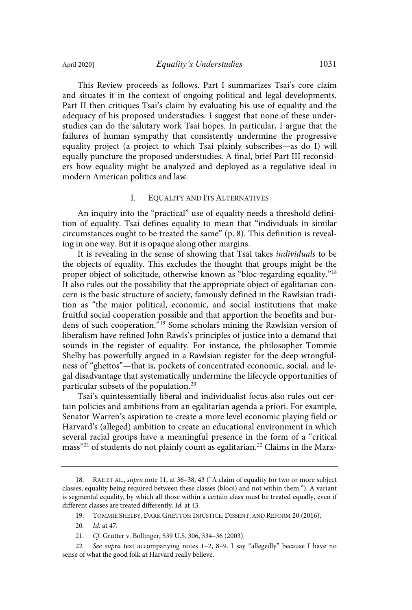This Review proceeds as follows. Part I summarizes Tsai's core claim and situates it in the context of ongoing political and legal developments. Part II then critiques Tsai's claim by evaluating his use of equality and the adequacy of his proposed understudies. I suggest that none of these understudies can do the salutary work Tsai hopes. In particular, I argue that the failures of human sympathy that consistently undermine the progressive equality project (a project to which Tsai plainly subscribes—as do I) will equally puncture the proposed understudies. A final, brief Part III reconsiders how equality might be analyzed and deployed as a regulative ideal in modern American politics and law.

#### I. EQUALITY AND ITS ALTERNATIVES

An inquiry into the "practical" use of equality needs a threshold definition of equality. Tsai defines equality to mean that "individuals in similar circumstances ought to be treated the same" (p. 8). This definition is revealing in one way. But it is opaque along other margins.

It is revealing in the sense of showing that Tsai takes individuals to be the objects of equality. This excludes the thought that groups might be the proper object of solicitude, otherwise known as "bloc-regarding equality." 18 It also rules out the possibility that the appropriate object of egalitarian concern is the basic structure of society, famously defined in the Rawlsian tradition as "the major political, economic, and social institutions that make fruitful social cooperation possible and that apportion the benefits and burdens of such cooperation."<sup>19</sup> Some scholars mining the Rawlsian version of liberalism have refined John Rawls's principles of justice into a demand that sounds in the register of equality. For instance, the philosopher Tommie Shelby has powerfully argued in a Rawlsian register for the deep wrongfulness of "ghettos"—that is, pockets of concentrated economic, social, and legal disadvantage that systematically undermine the lifecycle opportunities of particular subsets of the population. 20

Tsai's quintessentially liberal and individualist focus also rules out certain policies and ambitions from an egalitarian agenda a priori. For example, Senator Warren's aspiration to create a more level economic playing field or Harvard's (alleged) ambition to create an educational environment in which several racial groups have a meaningful presence in the form of a "critical mass"<sup>21</sup> of students do not plainly count as egalitarian.<sup>22</sup> Claims in the Marx-

19. TOMMIE SHELBY, DARK GHETTOS: INJUSTICE, DISSENT, AND REFORM 20 (2016).

20. Id. at 47.

<sup>18.</sup> RAE ET AL., supra note 11, at 36–38, 43 ("A claim of equality for two or more subject classes, equality being required between these classes (blocs) and not within them."). A variant is segmental equality, by which all those within a certain class must be treated equally, even if different classes are treated differently. Id. at 43.

<sup>21</sup>. Cf. Grutter v. Bollinger, 539 U.S. 306, 334–36 (2003).

<sup>22</sup>. See supra text accompanying notes 1–2, 8–9. I say "allegedly" because I have no sense of what the good folk at Harvard really believe.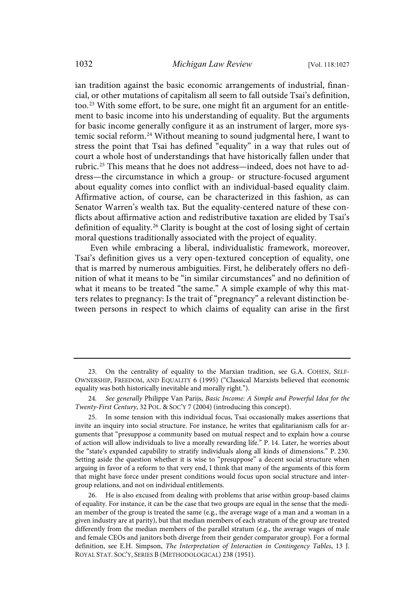ian tradition against the basic economic arrangements of industrial, financial, or other mutations of capitalism all seem to fall outside Tsai's definition, too.<sup>23</sup> With some effort, to be sure, one might fit an argument for an entitlement to basic income into his understanding of equality. But the arguments for basic income generally configure it as an instrument of larger, more systemic social reform. <sup>24</sup> Without meaning to sound judgmental here, I want to stress the point that Tsai has defined "equality" in a way that rules out of court a whole host of understandings that have historically fallen under that rubric.<sup>25</sup> This means that he does not address—indeed, does not have to address—the circumstance in which a group- or structure-focused argument about equality comes into conflict with an individual-based equality claim. Affirmative action, of course, can be characterized in this fashion, as can Senator Warren's wealth tax. But the equality-centered nature of these conflicts about affirmative action and redistributive taxation are elided by Tsai's definition of equality.<sup>26</sup> Clarity is bought at the cost of losing sight of certain moral questions traditionally associated with the project of equality.

Even while embracing a liberal, individualistic framework, moreover, Tsai's definition gives us a very open-textured conception of equality, one that is marred by numerous ambiguities. First, he deliberately offers no definition of what it means to be "in similar circumstances" and no definition of what it means to be treated "the same." A simple example of why this matters relates to pregnancy: Is the trait of "pregnancy" a relevant distinction between persons in respect to which claims of equality can arise in the first

<sup>23.</sup> On the centrality of equality to the Marxian tradition, see G.A. COHEN, SELF-OWNERSHIP, FREEDOM, AND EQUALITY 6 (1995) ("Classical Marxists believed that economic equality was both historically inevitable and morally right.").

<sup>24</sup>. See generally Philippe Van Parijs, Basic Income: A Simple and Powerful Idea for the Twenty-First Century, 32 POL. & SOC'Y 7 (2004) (introducing this concept).

<sup>25.</sup> In some tension with this individual focus, Tsai occasionally makes assertions that invite an inquiry into social structure. For instance, he writes that egalitarianism calls for arguments that "presuppose a community based on mutual respect and to explain how a course of action will allow individuals to live a morally rewarding life." P. 14. Later, he worries about the "state's expanded capability to stratify individuals along all kinds of dimensions." P. 230. Setting aside the question whether it is wise to "presuppose" a decent social structure when arguing in favor of a reform to that very end, I think that many of the arguments of this form that might have force under present conditions would focus upon social structure and intergroup relations, and not on individual entitlements.

He is also excused from dealing with problems that arise within group-based claims of equality. For instance, it can be the case that two groups are equal in the sense that the median member of the group is treated the same (e.g., the average wage of a man and a woman in a given industry are at parity), but that median members of each stratum of the group are treated differently from the median members of the parallel stratum (e.g., the average wages of male and female CEOs and janitors both diverge from their gender comparator group). For a formal definition, see E.H. Simpson, The Interpretation of Interaction in Contingency Tables, 13 J. ROYAL STAT. SOC'Y, SERIES B (METHODOLOGICAL) 238 (1951).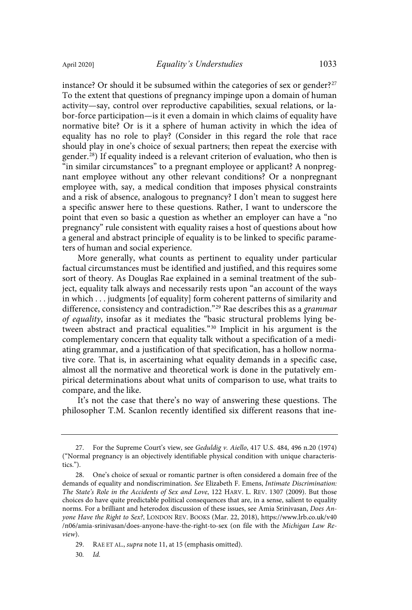instance? Or should it be subsumed within the categories of sex or gender? 27 To the extent that questions of pregnancy impinge upon a domain of human activity—say, control over reproductive capabilities, sexual relations, or labor-force participation—is it even a domain in which claims of equality have normative bite? Or is it a sphere of human activity in which the idea of equality has no role to play? (Consider in this regard the role that race should play in one's choice of sexual partners; then repeat the exercise with gender. <sup>28</sup>) If equality indeed is a relevant criterion of evaluation, who then is "in similar circumstances" to a pregnant employee or applicant? A nonpregnant employee without any other relevant conditions? Or a nonpregnant employee with, say, a medical condition that imposes physical constraints and a risk of absence, analogous to pregnancy? I don't mean to suggest here a specific answer here to these questions. Rather, I want to underscore the point that even so basic a question as whether an employer can have a "no pregnancy" rule consistent with equality raises a host of questions about how

More generally, what counts as pertinent to equality under particular factual circumstances must be identified and justified, and this requires some sort of theory. As Douglas Rae explained in a seminal treatment of the subject, equality talk always and necessarily rests upon "an account of the ways in which . . . judgments [of equality] form coherent patterns of similarity and difference, consistency and contradiction."<sup>29</sup> Rae describes this as a grammar of equality, insofar as it mediates the "basic structural problems lying between abstract and practical equalities."<sup>30</sup> Implicit in his argument is the complementary concern that equality talk without a specification of a mediating grammar, and a justification of that specification, has a hollow normative core. That is, in ascertaining what equality demands in a specific case, almost all the normative and theoretical work is done in the putatively empirical determinations about what units of comparison to use, what traits to compare, and the like.

a general and abstract principle of equality is to be linked to specific parame-

ters of human and social experience.

It's not the case that there's no way of answering these questions. The philosopher T.M. Scanlon recently identified six different reasons that ine-

<sup>27.</sup> For the Supreme Court's view, see Geduldig v. Aiello, 417 U.S. 484, 496 n.20 (1974) ("Normal pregnancy is an objectively identifiable physical condition with unique characteristics.").

<sup>28.</sup> One's choice of sexual or romantic partner is often considered a domain free of the demands of equality and nondiscrimination. See Elizabeth F. Emens, Intimate Discrimination: The State's Role in the Accidents of Sex and Love, 122 HARV. L. REV. 1307 (2009). But those choices do have quite predictable political consequences that are, in a sense, salient to equality norms. For a brilliant and heterodox discussion of these issues, see Amia Srinivasan, Does Anyone Have the Right to Sex?, LONDON REV. BOOKS (Mar. 22, 2018), https://www.lrb.co.uk/v40 /n06/amia-srinivasan/does-anyone-have-the-right-to-sex (on file with the Michigan Law Review).

<sup>29.</sup> RAE ET AL., supra note 11, at 15 (emphasis omitted).

<sup>30</sup>. Id.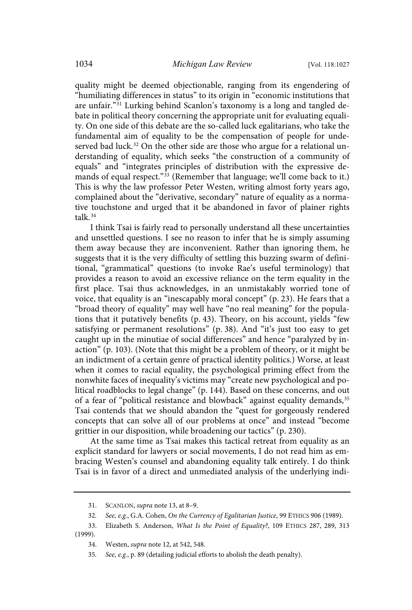quality might be deemed objectionable, ranging from its engendering of "humiliating differences in status" to its origin in "economic institutions that are unfair." <sup>31</sup> Lurking behind Scanlon's taxonomy is a long and tangled debate in political theory concerning the appropriate unit for evaluating equality. On one side of this debate are the so-called luck egalitarians, who take the fundamental aim of equality to be the compensation of people for undeserved bad luck.<sup>32</sup> On the other side are those who argue for a relational understanding of equality, which seeks "the construction of a community of equals" and "integrates principles of distribution with the expressive demands of equal respect." <sup>33</sup> (Remember that language; we'll come back to it.) This is why the law professor Peter Westen, writing almost forty years ago, complained about the "derivative, secondary" nature of equality as a normative touchstone and urged that it be abandoned in favor of plainer rights talk. 34

I think Tsai is fairly read to personally understand all these uncertainties and unsettled questions. I see no reason to infer that he is simply assuming them away because they are inconvenient. Rather than ignoring them, he suggests that it is the very difficulty of settling this buzzing swarm of definitional, "grammatical" questions (to invoke Rae's useful terminology) that provides a reason to avoid an excessive reliance on the term equality in the first place. Tsai thus acknowledges, in an unmistakably worried tone of voice, that equality is an "inescapably moral concept" (p. 23). He fears that a "broad theory of equality" may well have "no real meaning" for the populations that it putatively benefits (p. 43). Theory, on his account, yields "few satisfying or permanent resolutions" (p. 38). And "it's just too easy to get caught up in the minutiae of social differences" and hence "paralyzed by inaction" (p. 103). (Note that this might be a problem of theory, or it might be an indictment of a certain genre of practical identity politics.) Worse, at least when it comes to racial equality, the psychological priming effect from the nonwhite faces of inequality's victims may "create new psychological and political roadblocks to legal change" (p. 144). Based on these concerns, and out of a fear of "political resistance and blowback" against equality demands,<sup>35</sup> Tsai contends that we should abandon the "quest for gorgeously rendered concepts that can solve all of our problems at once" and instead "become grittier in our disposition, while broadening our tactics" (p. 230).

At the same time as Tsai makes this tactical retreat from equality as an explicit standard for lawyers or social movements, I do not read him as embracing Westen's counsel and abandoning equality talk entirely. I do think Tsai is in favor of a direct and unmediated analysis of the underlying indi-

(1999).

<sup>31.</sup> SCANLON, supra note 13, at 8–9.

<sup>32</sup>. See, e.g., G.A. Cohen, On the Currency of Egalitarian Justice, 99 ETHICS 906 (1989).

<sup>33.</sup> Elizabeth S. Anderson, What Is the Point of Equality?, 109 ETHICS 287, 289, 313

<sup>34.</sup> Westen, supra note 12, at 542, 548.

<sup>35</sup>. See, e.g., p. 89 (detailing judicial efforts to abolish the death penalty).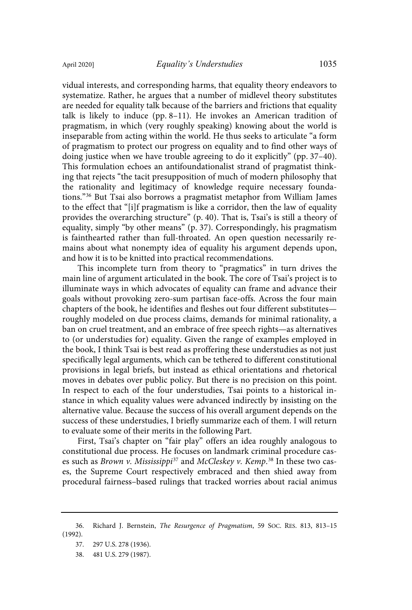vidual interests, and corresponding harms, that equality theory endeavors to systematize. Rather, he argues that a number of midlevel theory substitutes are needed for equality talk because of the barriers and frictions that equality talk is likely to induce (pp. 8–11). He invokes an American tradition of pragmatism, in which (very roughly speaking) knowing about the world is inseparable from acting within the world. He thus seeks to articulate "a form of pragmatism to protect our progress on equality and to find other ways of doing justice when we have trouble agreeing to do it explicitly" (pp. 37–40). This formulation echoes an antifoundationalist strand of pragmatist thinking that rejects "the tacit presupposition of much of modern philosophy that the rationality and legitimacy of knowledge require necessary foundations." <sup>36</sup> But Tsai also borrows a pragmatist metaphor from William James to the effect that "[i]f pragmatism is like a corridor, then the law of equality provides the overarching structure" (p. 40). That is, Tsai's is still a theory of equality, simply "by other means" (p. 37). Correspondingly, his pragmatism is fainthearted rather than full-throated. An open question necessarily remains about what nonempty idea of equality his argument depends upon, and how it is to be knitted into practical recommendations.

This incomplete turn from theory to "pragmatics" in turn drives the main line of argument articulated in the book. The core of Tsai's project is to illuminate ways in which advocates of equality can frame and advance their goals without provoking zero-sum partisan face-offs. Across the four main chapters of the book, he identifies and fleshes out four different substitutes roughly modeled on due process claims, demands for minimal rationality, a ban on cruel treatment, and an embrace of free speech rights—as alternatives to (or understudies for) equality. Given the range of examples employed in the book, I think Tsai is best read as proffering these understudies as not just specifically legal arguments, which can be tethered to different constitutional provisions in legal briefs, but instead as ethical orientations and rhetorical moves in debates over public policy. But there is no precision on this point. In respect to each of the four understudies, Tsai points to a historical instance in which equality values were advanced indirectly by insisting on the alternative value. Because the success of his overall argument depends on the success of these understudies, I briefly summarize each of them. I will return to evaluate some of their merits in the following Part.

First, Tsai's chapter on "fair play" offers an idea roughly analogous to constitutional due process. He focuses on landmark criminal procedure cases such as *Brown v. Mississippi<sup>37</sup>* and *McCleskey v. Kemp*.<sup>38</sup> In these two cases, the Supreme Court respectively embraced and then shied away from procedural fairness–based rulings that tracked worries about racial animus

<sup>36.</sup> Richard J. Bernstein, The Resurgence of Pragmatism, 59 SOC. RES. 813, 813–15 (1992).

<sup>37.</sup> 297 U.S. 278 (1936).

<sup>38.</sup> 481 U.S. 279 (1987).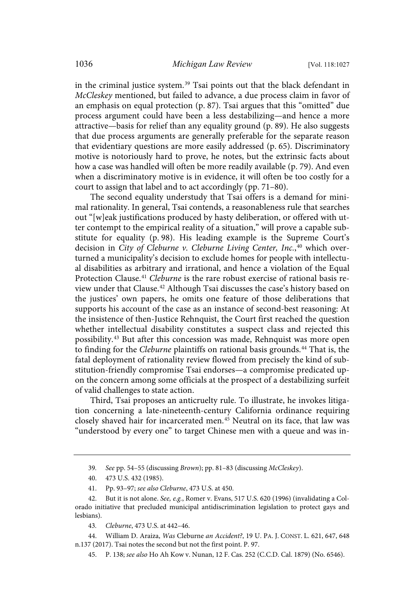in the criminal justice system. <sup>39</sup> Tsai points out that the black defendant in McCleskey mentioned, but failed to advance, a due process claim in favor of an emphasis on equal protection (p. 87). Tsai argues that this "omitted" due process argument could have been a less destabilizing—and hence a more attractive—basis for relief than any equality ground (p. 89). He also suggests that due process arguments are generally preferable for the separate reason that evidentiary questions are more easily addressed (p. 65). Discriminatory motive is notoriously hard to prove, he notes, but the extrinsic facts about how a case was handled will often be more readily available (p. 79). And even when a discriminatory motive is in evidence, it will often be too costly for a court to assign that label and to act accordingly (pp. 71–80).

The second equality understudy that Tsai offers is a demand for minimal rationality. In general, Tsai contends, a reasonableness rule that searches out "[w]eak justifications produced by hasty deliberation, or offered with utter contempt to the empirical reality of a situation," will prove a capable substitute for equality (p. 98). His leading example is the Supreme Court's decision in City of Cleburne v. Cleburne Living Center, Inc.,<sup>40</sup> which overturned a municipality's decision to exclude homes for people with intellectual disabilities as arbitrary and irrational, and hence a violation of the Equal Protection Clause.<sup>41</sup> Cleburne is the rare robust exercise of rational basis review under that Clause.<sup>42</sup> Although Tsai discusses the case's history based on the justices' own papers, he omits one feature of those deliberations that supports his account of the case as an instance of second-best reasoning: At the insistence of then-Justice Rehnquist, the Court first reached the question whether intellectual disability constitutes a suspect class and rejected this possibility.<sup>43</sup> But after this concession was made, Rehnquist was more open to finding for the Cleburne plaintiffs on rational basis grounds.<sup>44</sup> That is, the fatal deployment of rationality review flowed from precisely the kind of substitution-friendly compromise Tsai endorses—a compromise predicated upon the concern among some officials at the prospect of a destabilizing surfeit of valid challenges to state action.

Third, Tsai proposes an anticruelty rule. To illustrate, he invokes litigation concerning a late-nineteenth-century California ordinance requiring closely shaved hair for incarcerated men. <sup>45</sup> Neutral on its face, that law was "understood by every one" to target Chinese men with a queue and was in-

<sup>39</sup>. See pp. 54–55 (discussing Brown); pp. 81–83 (discussing McCleskey).

<sup>40.</sup> 473 U.S. 432 (1985).

<sup>41.</sup> Pp. 93–97; see also Cleburne, 473 U.S. at 450.

<sup>42.</sup> But it is not alone. See, e.g., Romer v. Evans, 517 U.S. 620 (1996) (invalidating a Colorado initiative that precluded municipal antidiscrimination legislation to protect gays and lesbians).

<sup>43</sup>. Cleburne, 473 U.S. at 442–46.

<sup>44.</sup> William D. Araiza, Was Cleburne an Accident?, 19 U. PA. J. CONST. L. 621, 647, 648 n.137 (2017). Tsai notes the second but not the first point. P. 97.

<sup>45.</sup> P. 138; see also Ho Ah Kow v. Nunan, 12 F. Cas. 252 (C.C.D. Cal. 1879) (No. 6546).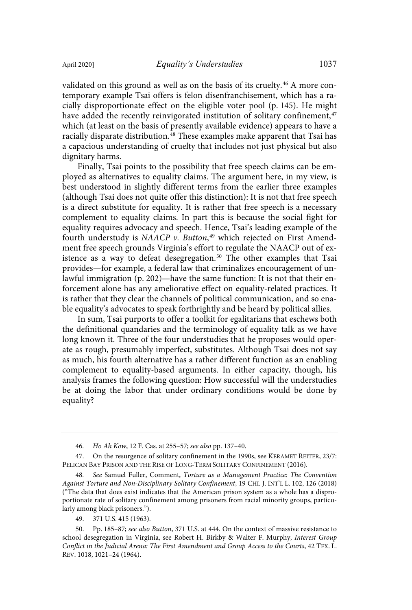dignitary harms.

validated on this ground as well as on the basis of its cruelty.<sup>46</sup> A more contemporary example Tsai offers is felon disenfranchisement, which has a racially disproportionate effect on the eligible voter pool (p. 145). He might have added the recently reinvigorated institution of solitary confinement,<sup>47</sup> which (at least on the basis of presently available evidence) appears to have a racially disparate distribution.<sup>48</sup> These examples make apparent that Tsai has a capacious understanding of cruelty that includes not just physical but also

Finally, Tsai points to the possibility that free speech claims can be employed as alternatives to equality claims. The argument here, in my view, is best understood in slightly different terms from the earlier three examples (although Tsai does not quite offer this distinction): It is not that free speech is a direct substitute for equality. It is rather that free speech is a necessary complement to equality claims. In part this is because the social fight for equality requires advocacy and speech. Hence, Tsai's leading example of the fourth understudy is NAACP v. Button,<sup>49</sup> which rejected on First Amendment free speech grounds Virginia's effort to regulate the NAACP out of existence as a way to defeat desegregation.<sup>50</sup> The other examples that Tsai provides—for example, a federal law that criminalizes encouragement of unlawful immigration (p. 202)—have the same function: It is not that their enforcement alone has any ameliorative effect on equality-related practices. It is rather that they clear the channels of political communication, and so enable equality's advocates to speak forthrightly and be heard by political allies.

In sum, Tsai purports to offer a toolkit for egalitarians that eschews both the definitional quandaries and the terminology of equality talk as we have long known it. Three of the four understudies that he proposes would operate as rough, presumably imperfect, substitutes. Although Tsai does not say as much, his fourth alternative has a rather different function as an enabling complement to equality-based arguments. In either capacity, though, his analysis frames the following question: How successful will the understudies be at doing the labor that under ordinary conditions would be done by equality?

49. 371 U.S. 415 (1963).

<sup>46</sup>. Ho Ah Kow, 12 F. Cas. at 255–57; see also pp. 137–40.

<sup>47.</sup> On the resurgence of solitary confinement in the 1990s, see KERAMET REITER, 23/7: PELICAN BAY PRISON AND THE RISE OF LONG-TERM SOLITARY CONFINEMENT (2016).

See Samuel Fuller, Comment, Torture as a Management Practice: The Convention Against Torture and Non-Disciplinary Solitary Confinement, 19 CHI. J. INT'L L. 102, 126 (2018) ("The data that does exist indicates that the American prison system as a whole has a disproportionate rate of solitary confinement among prisoners from racial minority groups, particularly among black prisoners.").

<sup>50.</sup> Pp. 185–87; see also Button, 371 U.S. at 444. On the context of massive resistance to school desegregation in Virginia, see Robert H. Birkby & Walter F. Murphy, Interest Group Conflict in the Judicial Arena: The First Amendment and Group Access to the Courts, 42 TEX. L. REV. 1018, 1021–24 (1964).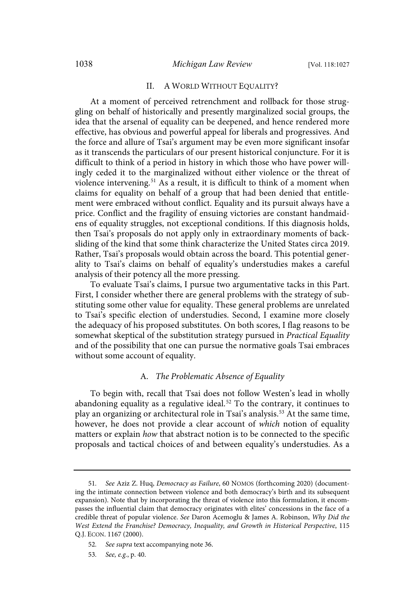#### II. A WORLD WITHOUT EQUALITY?

At a moment of perceived retrenchment and rollback for those struggling on behalf of historically and presently marginalized social groups, the idea that the arsenal of equality can be deepened, and hence rendered more effective, has obvious and powerful appeal for liberals and progressives. And the force and allure of Tsai's argument may be even more significant insofar as it transcends the particulars of our present historical conjuncture. For it is difficult to think of a period in history in which those who have power willingly ceded it to the marginalized without either violence or the threat of violence intervening.<sup>51</sup> As a result, it is difficult to think of a moment when claims for equality on behalf of a group that had been denied that entitlement were embraced without conflict. Equality and its pursuit always have a price. Conflict and the fragility of ensuing victories are constant handmaidens of equality struggles, not exceptional conditions. If this diagnosis holds, then Tsai's proposals do not apply only in extraordinary moments of backsliding of the kind that some think characterize the United States circa 2019. Rather, Tsai's proposals would obtain across the board. This potential generality to Tsai's claims on behalf of equality's understudies makes a careful analysis of their potency all the more pressing.

To evaluate Tsai's claims, I pursue two argumentative tacks in this Part. First, I consider whether there are general problems with the strategy of substituting some other value for equality. These general problems are unrelated to Tsai's specific election of understudies. Second, I examine more closely the adequacy of his proposed substitutes. On both scores, I flag reasons to be somewhat skeptical of the substitution strategy pursued in Practical Equality and of the possibility that one can pursue the normative goals Tsai embraces without some account of equality.

#### A. The Problematic Absence of Equality

To begin with, recall that Tsai does not follow Westen's lead in wholly abandoning equality as a regulative ideal.<sup>52</sup> To the contrary, it continues to play an organizing or architectural role in Tsai's analysis.<sup>53</sup> At the same time, however, he does not provide a clear account of which notion of equality matters or explain how that abstract notion is to be connected to the specific proposals and tactical choices of and between equality's understudies. As a

<sup>51</sup>. See Aziz Z. Huq, Democracy as Failure, 60 NOMOS (forthcoming 2020) (documenting the intimate connection between violence and both democracy's birth and its subsequent expansion). Note that by incorporating the threat of violence into this formulation, it encompasses the influential claim that democracy originates with elites' concessions in the face of a credible threat of popular violence. See Daron Acemoglu & James A. Robinson, Why Did the West Extend the Franchise? Democracy, Inequality, and Growth in Historical Perspective, 115 Q.J. ECON. 1167 (2000).

<sup>52</sup>. See supra text accompanying note 36.

<sup>53</sup>. See, e.g., p. 40.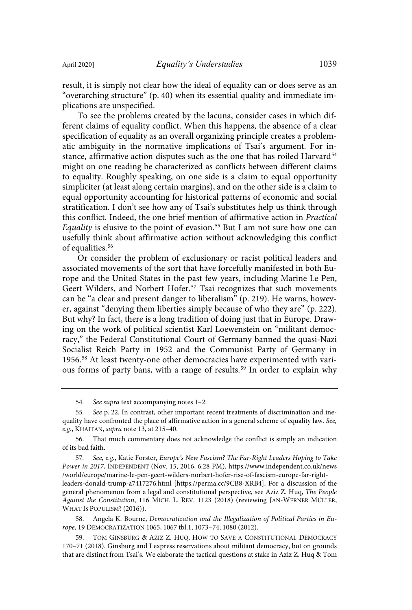result, it is simply not clear how the ideal of equality can or does serve as an "overarching structure" (p. 40) when its essential quality and immediate implications are unspecified.

To see the problems created by the lacuna, consider cases in which different claims of equality conflict. When this happens, the absence of a clear specification of equality as an overall organizing principle creates a problematic ambiguity in the normative implications of Tsai's argument. For instance, affirmative action disputes such as the one that has roiled Harvard<sup>54</sup> might on one reading be characterized as conflicts between different claims to equality. Roughly speaking, on one side is a claim to equal opportunity simpliciter (at least along certain margins), and on the other side is a claim to equal opportunity accounting for historical patterns of economic and social stratification. I don't see how any of Tsai's substitutes help us think through this conflict. Indeed, the one brief mention of affirmative action in Practical Equality is elusive to the point of evasion.<sup>55</sup> But I am not sure how one can usefully think about affirmative action without acknowledging this conflict of equalities. 56

Or consider the problem of exclusionary or racist political leaders and associated movements of the sort that have forcefully manifested in both Europe and the United States in the past few years, including Marine Le Pen, Geert Wilders, and Norbert Hofer.<sup>57</sup> Tsai recognizes that such movements can be "a clear and present danger to liberalism" (p. 219). He warns, however, against "denying them liberties simply because of who they are" (p. 222). But why? In fact, there is a long tradition of doing just that in Europe. Drawing on the work of political scientist Karl Loewenstein on "militant democracy," the Federal Constitutional Court of Germany banned the quasi-Nazi Socialist Reich Party in 1952 and the Communist Party of Germany in 1956.<sup>58</sup> At least twenty-one other democracies have experimented with various forms of party bans, with a range of results.<sup>59</sup> In order to explain why

54. See supra text accompanying notes 1–2.

58. Angela K. Bourne, Democratization and the Illegalization of Political Parties in Europe, 19 DEMOCRATIZATION 1065, 1067 tbl.1, 1073–74, 1080 (2012).

<sup>55</sup>. See p. 22. In contrast, other important recent treatments of discrimination and inequality have confronted the place of affirmative action in a general scheme of equality law. See, e.g., KHAITAN, supra note 13, at 215–40.

<sup>56.</sup> That much commentary does not acknowledge the conflict is simply an indication of its bad faith.

<sup>57</sup>. See, e.g., Katie Forster, Europe's New Fascism? The Far-Right Leaders Hoping to Take Power in 2017, INDEPENDENT (Nov. 15, 2016, 6:28 PM), https://www.independent.co.uk/news /world/europe/marine-le-pen-geert-wilders-norbert-hofer-rise-of-fascism-europe-far-rightleaders-donald-trump-a7417276.html [https://perma.cc/9CB8-XRB4]. For a discussion of the general phenomenon from a legal and constitutional perspective, see Aziz Z. Huq, The People Against the Constitution, 116 MICH. L. REV. 1123 (2018) (reviewing JAN-WERNER MÜLLER, WHAT IS POPULISM? (2016)).

<sup>59.</sup> TOM GINSBURG & AZIZ Z. HUQ, HOW TO SAVE A CONSTITUTIONAL DEMOCRACY 170–71 (2018). Ginsburg and I express reservations about militant democracy, but on grounds that are distinct from Tsai's. We elaborate the tactical questions at stake in Aziz Z. Huq & Tom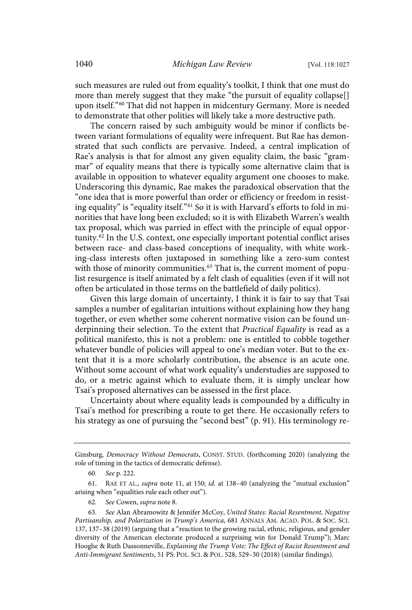such measures are ruled out from equality's toolkit, I think that one must do more than merely suggest that they make "the pursuit of equality collapse. upon itself."<sup>60</sup> That did not happen in midcentury Germany. More is needed to demonstrate that other polities will likely take a more destructive path.

The concern raised by such ambiguity would be minor if conflicts between variant formulations of equality were infrequent. But Rae has demonstrated that such conflicts are pervasive. Indeed, a central implication of Rae's analysis is that for almost any given equality claim, the basic "grammar" of equality means that there is typically some alternative claim that is available in opposition to whatever equality argument one chooses to make. Underscoring this dynamic, Rae makes the paradoxical observation that the "one idea that is more powerful than order or efficiency or freedom in resisting equality" is "equality itself."<sup>61</sup> So it is with Harvard's efforts to fold in minorities that have long been excluded; so it is with Elizabeth Warren's wealth tax proposal, which was parried in effect with the principle of equal opportunity.<sup>62</sup> In the U.S. context, one especially important potential conflict arises between race- and class-based conceptions of inequality, with white working-class interests often juxtaposed in something like a zero-sum contest with those of minority communities.<sup>63</sup> That is, the current moment of populist resurgence is itself animated by a felt clash of equalities (even if it will not often be articulated in those terms on the battlefield of daily politics).

Given this large domain of uncertainty, I think it is fair to say that Tsai samples a number of egalitarian intuitions without explaining how they hang together, or even whether some coherent normative vision can be found underpinning their selection. To the extent that Practical Equality is read as a political manifesto, this is not a problem: one is entitled to cobble together whatever bundle of policies will appeal to one's median voter. But to the extent that it is a more scholarly contribution, the absence is an acute one. Without some account of what work equality's understudies are supposed to do, or a metric against which to evaluate them, it is simply unclear how Tsai's proposed alternatives can be assessed in the first place.

Uncertainty about where equality leads is compounded by a difficulty in Tsai's method for prescribing a route to get there. He occasionally refers to his strategy as one of pursuing the "second best" (p. 91). His terminology re-

61. RAE ET AL., supra note 11, at 150; id. at 138–40 (analyzing the "mutual exclusion" arising when "equalities rule each other out").

62. See Cowen, supra note 8.

Ginsburg, Democracy Without Democrats, CONST. STUD. (forthcoming 2020) (analyzing the role of timing in the tactics of democratic defense).

<sup>60</sup>. See p. 222.

<sup>63</sup>. See Alan Abramowitz & Jennifer McCoy, United States: Racial Resentment, Negative Partisanship, and Polarization in Trump's America, 681 ANNALS AM. ACAD. POL. & SOC. SCI. 137, 137–38 (2019) (arguing that a "reaction to the growing racial, ethnic, religious, and gender diversity of the American electorate produced a surprising win for Donald Trump"); Marc Hooghe & Ruth Dassonneville, Explaining the Trump Vote: The Effect of Racist Resentment and Anti-Immigrant Sentiments, 51 PS: POL. SCI. & POL. 528, 529–30 (2018) (similar findings).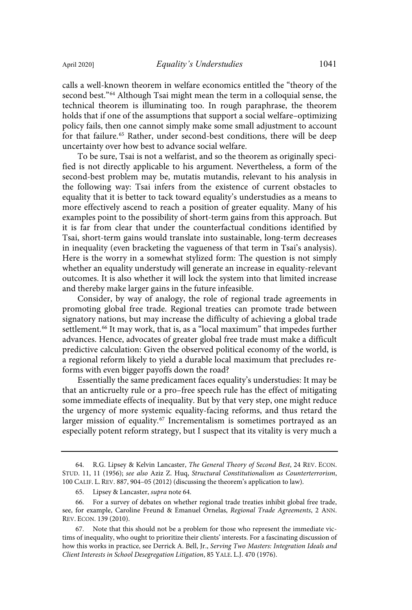calls a well-known theorem in welfare economics entitled the "theory of the second best."<sup>64</sup> Although Tsai might mean the term in a colloquial sense, the technical theorem is illuminating too. In rough paraphrase, the theorem holds that if one of the assumptions that support a social welfare–optimizing policy fails, then one cannot simply make some small adjustment to account for that failure.<sup>65</sup> Rather, under second-best conditions, there will be deep uncertainty over how best to advance social welfare.

To be sure, Tsai is not a welfarist, and so the theorem as originally specified is not directly applicable to his argument. Nevertheless, a form of the second-best problem may be, mutatis mutandis, relevant to his analysis in the following way: Tsai infers from the existence of current obstacles to equality that it is better to tack toward equality's understudies as a means to more effectively ascend to reach a position of greater equality. Many of his examples point to the possibility of short-term gains from this approach. But it is far from clear that under the counterfactual conditions identified by Tsai, short-term gains would translate into sustainable, long-term decreases in inequality (even bracketing the vagueness of that term in Tsai's analysis). Here is the worry in a somewhat stylized form: The question is not simply whether an equality understudy will generate an increase in equality-relevant outcomes. It is also whether it will lock the system into that limited increase and thereby make larger gains in the future infeasible.

Consider, by way of analogy, the role of regional trade agreements in promoting global free trade. Regional treaties can promote trade between signatory nations, but may increase the difficulty of achieving a global trade settlement.<sup>66</sup> It may work, that is, as a "local maximum" that impedes further advances. Hence, advocates of greater global free trade must make a difficult predictive calculation: Given the observed political economy of the world, is a regional reform likely to yield a durable local maximum that precludes reforms with even bigger payoffs down the road?

Essentially the same predicament faces equality's understudies: It may be that an anticruelty rule or a pro–free speech rule has the effect of mitigating some immediate effects of inequality. But by that very step, one might reduce the urgency of more systemic equality-facing reforms, and thus retard the larger mission of equality.<sup>67</sup> Incrementalism is sometimes portrayed as an especially potent reform strategy, but I suspect that its vitality is very much a

<sup>64.</sup> R.G. Lipsey & Kelvin Lancaster, The General Theory of Second Best, 24 REV. ECON. STUD. 11, 11 (1956); see also Aziz Z. Huq, Structural Constitutionalism as Counterterrorism, 100 CALIF. L. REV. 887, 904–05 (2012) (discussing the theorem's application to law).

<sup>65.</sup> Lipsey & Lancaster, supra note 64.

<sup>66.</sup> For a survey of debates on whether regional trade treaties inhibit global free trade, see, for example, Caroline Freund & Emanuel Ornelas, Regional Trade Agreements, 2 ANN. REV. ECON. 139 (2010).

<sup>67.</sup> Note that this should not be a problem for those who represent the immediate victims of inequality, who ought to prioritize their clients' interests. For a fascinating discussion of how this works in practice, see Derrick A. Bell, Jr., Serving Two Masters: Integration Ideals and Client Interests in School Desegregation Litigation, 85 YALE. L.J. 470 (1976).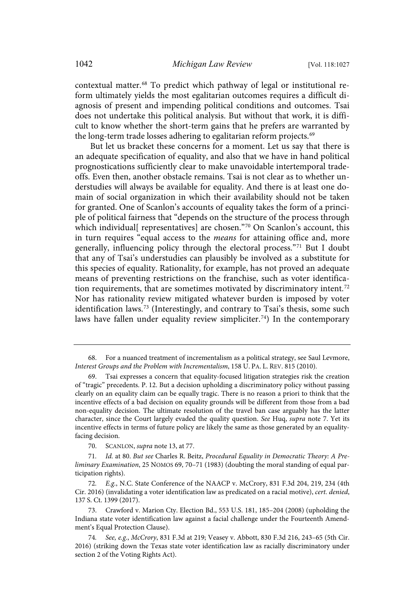contextual matter. <sup>68</sup> To predict which pathway of legal or institutional reform ultimately yields the most egalitarian outcomes requires a difficult diagnosis of present and impending political conditions and outcomes. Tsai does not undertake this political analysis. But without that work, it is difficult to know whether the short-term gains that he prefers are warranted by the long-term trade losses adhering to egalitarian reform projects. 69

But let us bracket these concerns for a moment. Let us say that there is an adequate specification of equality, and also that we have in hand political prognostications sufficiently clear to make unavoidable intertemporal tradeoffs. Even then, another obstacle remains. Tsai is not clear as to whether understudies will always be available for equality. And there is at least one domain of social organization in which their availability should not be taken for granted. One of Scanlon's accounts of equality takes the form of a principle of political fairness that "depends on the structure of the process through which individual[ representatives] are chosen." <sup>70</sup> On Scanlon's account, this in turn requires "equal access to the means for attaining office and, more generally, influencing policy through the electoral process."<sup>71</sup> But I doubt that any of Tsai's understudies can plausibly be involved as a substitute for this species of equality. Rationality, for example, has not proved an adequate means of preventing restrictions on the franchise, such as voter identification requirements, that are sometimes motivated by discriminatory intent.<sup>72</sup> Nor has rationality review mitigated whatever burden is imposed by voter identification laws. <sup>73</sup> (Interestingly, and contrary to Tsai's thesis, some such laws have fallen under equality review simpliciter. <sup>74</sup>) In the contemporary

70. SCANLON, supra note 13, at 77.

71. Id. at 80. But see Charles R. Beitz, Procedural Equality in Democratic Theory: A Preliminary Examination, 25 NOMOS 69, 70–71 (1983) (doubting the moral standing of equal participation rights).

72. E.g., N.C. State Conference of the NAACP v. McCrory, 831 F.3d 204, 219, 234 (4th Cir. 2016) (invalidating a voter identification law as predicated on a racial motive), cert. denied, 137 S. Ct. 1399 (2017).

73. Crawford v. Marion Cty. Election Bd., 553 U.S. 181, 185–204 (2008) (upholding the Indiana state voter identification law against a facial challenge under the Fourteenth Amendment's Equal Protection Clause).

<sup>68.</sup> For a nuanced treatment of incrementalism as a political strategy, see Saul Levmore, Interest Groups and the Problem with Incrementalism, 158 U. PA. L. REV. 815 (2010).

<sup>69.</sup> Tsai expresses a concern that equality-focused litigation strategies risk the creation of "tragic" precedents. P. 12. But a decision upholding a discriminatory policy without passing clearly on an equality claim can be equally tragic. There is no reason a priori to think that the incentive effects of a bad decision on equality grounds will be different from those from a bad non-equality decision. The ultimate resolution of the travel ban case arguably has the latter character, since the Court largely evaded the quality question. See Huq, supra note 7. Yet its incentive effects in terms of future policy are likely the same as those generated by an equalityfacing decision.

<sup>74</sup>. See, e.g., McCrory, 831 F.3d at 219; Veasey v. Abbott, 830 F.3d 216, 243–65 (5th Cir. 2016) (striking down the Texas state voter identification law as racially discriminatory under section 2 of the Voting Rights Act).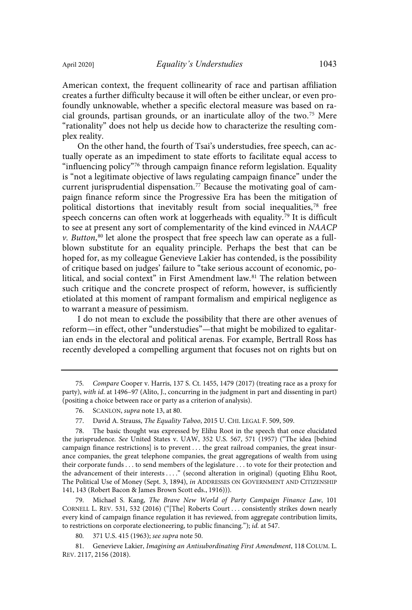creates a further difficulty because it will often be either unclear, or even profoundly unknowable, whether a specific electoral measure was based on racial grounds, partisan grounds, or an inarticulate alloy of the two.<sup>75</sup> Mere "rationality" does not help us decide how to characterize the resulting complex reality.

On the other hand, the fourth of Tsai's understudies, free speech, can actually operate as an impediment to state efforts to facilitate equal access to "influencing policy" <sup>76</sup> through campaign finance reform legislation. Equality is "not a legitimate objective of laws regulating campaign finance" under the current jurisprudential dispensation. <sup>77</sup> Because the motivating goal of campaign finance reform since the Progressive Era has been the mitigation of political distortions that inevitably result from social inequalities,<sup>78</sup> free speech concerns can often work at loggerheads with equality.<sup>79</sup> It is difficult to see at present any sort of complementarity of the kind evinced in NAACP v. Button, <sup>80</sup> let alone the prospect that free speech law can operate as a fullblown substitute for an equality principle. Perhaps the best that can be hoped for, as my colleague Genevieve Lakier has contended, is the possibility of critique based on judges' failure to "take serious account of economic, political, and social context" in First Amendment law.<sup>81</sup> The relation between such critique and the concrete prospect of reform, however, is sufficiently etiolated at this moment of rampant formalism and empirical negligence as to warrant a measure of pessimism.

I do not mean to exclude the possibility that there are other avenues of reform—in effect, other "understudies"—that might be mobilized to egalitarian ends in the electoral and political arenas. For example, Bertrall Ross has recently developed a compelling argument that focuses not on rights but on

79. Michael S. Kang, The Brave New World of Party Campaign Finance Law, 101 CORNELL L. REV. 531, 532 (2016) ("[The] Roberts Court . . . consistently strikes down nearly every kind of campaign finance regulation it has reviewed, from aggregate contribution limits, to restrictions on corporate electioneering, to public financing."); id. at 547.

80. 371 U.S. 415 (1963); see supra note 50.

81. Genevieve Lakier, Imagining an Antisubordinating First Amendment, 118 COLUM. L. REV. 2117, 2156 (2018).

<sup>75</sup>. Compare Cooper v. Harris, 137 S. Ct. 1455, 1479 (2017) (treating race as a proxy for party), with id. at 1496–97 (Alito, J., concurring in the judgment in part and dissenting in part) (positing a choice between race or party as a criterion of analysis).

<sup>76.</sup> SCANLON, supra note 13, at 80.

<sup>77.</sup> David A. Strauss, The Equality Taboo, 2015 U. CHI. LEGAL F. 509, 509.

The basic thought was expressed by Elihu Root in the speech that once elucidated the jurisprudence. See United States v. UAW, 352 U.S. 567, 571 (1957) ("The idea [behind campaign finance restrictions] is to prevent . . . the great railroad companies, the great insurance companies, the great telephone companies, the great aggregations of wealth from using their corporate funds . . . to send members of the legislature . . . to vote for their protection and the advancement of their interests . . . ." (second alteration in original) (quoting Elihu Root, The Political Use of Money (Sept. 3, 1894), in ADDRESSES ON GOVERNMENT AND CITIZENSHIP 141, 143 (Robert Bacon & James Brown Scott eds., 1916))).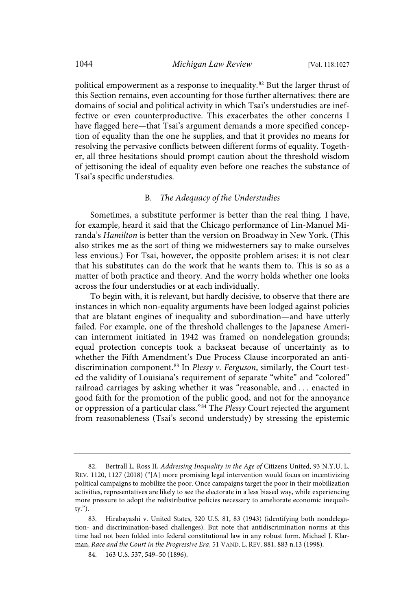political empowerment as a response to inequality.<sup>82</sup> But the larger thrust of this Section remains, even accounting for those further alternatives: there are domains of social and political activity in which Tsai's understudies are ineffective or even counterproductive. This exacerbates the other concerns I have flagged here—that Tsai's argument demands a more specified conception of equality than the one he supplies, and that it provides no means for resolving the pervasive conflicts between different forms of equality. Together, all three hesitations should prompt caution about the threshold wisdom of jettisoning the ideal of equality even before one reaches the substance of Tsai's specific understudies.

## B. The Adequacy of the Understudies

Sometimes, a substitute performer is better than the real thing. I have, for example, heard it said that the Chicago performance of Lin-Manuel Miranda's Hamilton is better than the version on Broadway in New York. (This also strikes me as the sort of thing we midwesterners say to make ourselves less envious.) For Tsai, however, the opposite problem arises: it is not clear that his substitutes can do the work that he wants them to. This is so as a matter of both practice and theory. And the worry holds whether one looks across the four understudies or at each individually.

To begin with, it is relevant, but hardly decisive, to observe that there are instances in which non-equality arguments have been lodged against policies that are blatant engines of inequality and subordination—and have utterly failed. For example, one of the threshold challenges to the Japanese American internment initiated in 1942 was framed on nondelegation grounds; equal protection concepts took a backseat because of uncertainty as to whether the Fifth Amendment's Due Process Clause incorporated an antidiscrimination component.<sup>83</sup> In Plessy v. Ferguson, similarly, the Court tested the validity of Louisiana's requirement of separate "white" and "colored" railroad carriages by asking whether it was "reasonable, and . . . enacted in good faith for the promotion of the public good, and not for the annoyance or oppression of a particular class."<sup>84</sup> The Plessy Court rejected the argument from reasonableness (Tsai's second understudy) by stressing the epistemic

<sup>82.</sup> Bertrall L. Ross II, Addressing Inequality in the Age of Citizens United, 93 N.Y.U. L. REV. 1120, 1127 (2018) ("[A] more promising legal intervention would focus on incentivizing political campaigns to mobilize the poor. Once campaigns target the poor in their mobilization activities, representatives are likely to see the electorate in a less biased way, while experiencing more pressure to adopt the redistributive policies necessary to ameliorate economic inequality.").

<sup>83.</sup> Hirabayashi v. United States, 320 U.S. 81, 83 (1943) (identifying both nondelegation- and discrimination-based challenges). But note that antidiscrimination norms at this time had not been folded into federal constitutional law in any robust form. Michael J. Klarman, Race and the Court in the Progressive Era, 51 VAND. L. REV. 881, 883 n.13 (1998).

<sup>84.</sup> 163 U.S. 537, 549–50 (1896).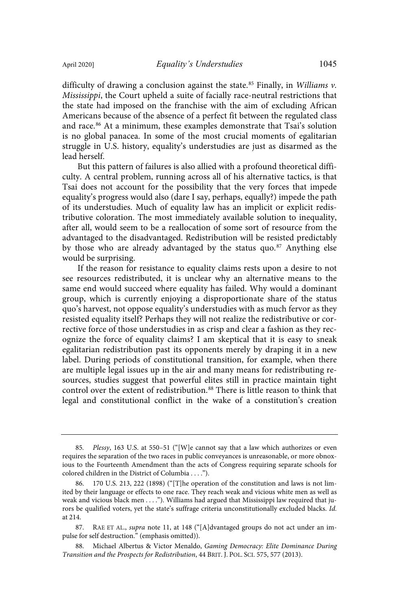difficulty of drawing a conclusion against the state.<sup>85</sup> Finally, in Williams  $v$ . Mississippi, the Court upheld a suite of facially race-neutral restrictions that the state had imposed on the franchise with the aim of excluding African Americans because of the absence of a perfect fit between the regulated class

and race. <sup>86</sup> At a minimum, these examples demonstrate that Tsai's solution is no global panacea. In some of the most crucial moments of egalitarian struggle in U.S. history, equality's understudies are just as disarmed as the lead herself.

But this pattern of failures is also allied with a profound theoretical difficulty. A central problem, running across all of his alternative tactics, is that Tsai does not account for the possibility that the very forces that impede equality's progress would also (dare I say, perhaps, equally?) impede the path of its understudies. Much of equality law has an implicit or explicit redistributive coloration. The most immediately available solution to inequality, after all, would seem to be a reallocation of some sort of resource from the advantaged to the disadvantaged. Redistribution will be resisted predictably by those who are already advantaged by the status quo.<sup>87</sup> Anything else would be surprising.

If the reason for resistance to equality claims rests upon a desire to not see resources redistributed, it is unclear why an alternative means to the same end would succeed where equality has failed. Why would a dominant group, which is currently enjoying a disproportionate share of the status quo's harvest, not oppose equality's understudies with as much fervor as they resisted equality itself? Perhaps they will not realize the redistributive or corrective force of those understudies in as crisp and clear a fashion as they recognize the force of equality claims? I am skeptical that it is easy to sneak egalitarian redistribution past its opponents merely by draping it in a new label. During periods of constitutional transition, for example, when there are multiple legal issues up in the air and many means for redistributing resources, studies suggest that powerful elites still in practice maintain tight control over the extent of redistribution.<sup>88</sup> There is little reason to think that legal and constitutional conflict in the wake of a constitution's creation

<sup>85</sup>. Plessy, 163 U.S. at 550–51 ("[W]e cannot say that a law which authorizes or even requires the separation of the two races in public conveyances is unreasonable, or more obnoxious to the Fourteenth Amendment than the acts of Congress requiring separate schools for colored children in the District of Columbia . . . .").

<sup>170</sup> U.S. 213, 222 (1898) ("[T]he operation of the constitution and laws is not limited by their language or effects to one race. They reach weak and vicious white men as well as weak and vicious black men . . . ."). Williams had argued that Mississippi law required that jurors be qualified voters, yet the state's suffrage criteria unconstitutionally excluded blacks. Id. at 214.

<sup>87.</sup> RAE ET AL., supra note 11, at 148 ("[A]dvantaged groups do not act under an impulse for self destruction." (emphasis omitted)).

<sup>88.</sup> Michael Albertus & Victor Menaldo, Gaming Democracy: Elite Dominance During Transition and the Prospects for Redistribution, 44 BRIT. J. POL. SCI. 575, 577 (2013).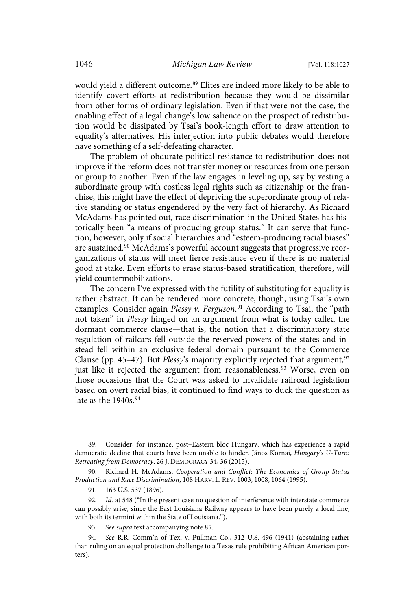would yield a different outcome.<sup>89</sup> Elites are indeed more likely to be able to identify covert efforts at redistribution because they would be dissimilar from other forms of ordinary legislation. Even if that were not the case, the enabling effect of a legal change's low salience on the prospect of redistribution would be dissipated by Tsai's book-length effort to draw attention to equality's alternatives. His interjection into public debates would therefore have something of a self-defeating character.

The problem of obdurate political resistance to redistribution does not improve if the reform does not transfer money or resources from one person or group to another. Even if the law engages in leveling up, say by vesting a subordinate group with costless legal rights such as citizenship or the franchise, this might have the effect of depriving the superordinate group of relative standing or status engendered by the very fact of hierarchy. As Richard McAdams has pointed out, race discrimination in the United States has historically been "a means of producing group status." It can serve that function, however, only if social hierarchies and "esteem-producing racial biases" are sustained.<sup>90</sup> McAdams's powerful account suggests that progressive reorganizations of status will meet fierce resistance even if there is no material good at stake. Even efforts to erase status-based stratification, therefore, will yield countermobilizations.

The concern I've expressed with the futility of substituting for equality is rather abstract. It can be rendered more concrete, though, using Tsai's own examples. Consider again Plessy v. Ferguson.<sup>91</sup> According to Tsai, the "path not taken" in Plessy hinged on an argument from what is today called the dormant commerce clause—that is, the notion that a discriminatory state regulation of railcars fell outside the reserved powers of the states and instead fell within an exclusive federal domain pursuant to the Commerce Clause (pp. 45–47). But *Plessy*'s majority explicitly rejected that argument,<sup>92</sup> just like it rejected the argument from reasonableness.<sup>93</sup> Worse, even on those occasions that the Court was asked to invalidate railroad legislation based on overt racial bias, it continued to find ways to duck the question as late as the 1940s. 94

<sup>89.</sup> Consider, for instance, post–Eastern bloc Hungary, which has experience a rapid democratic decline that courts have been unable to hinder. János Kornai, Hungary's U-Turn: Retreating from Democracy, 26 J. DEMOCRACY 34, 36 (2015).

<sup>90.</sup> Richard H. McAdams, Cooperation and Conflict: The Economics of Group Status Production and Race Discrimination, 108 HARV. L. REV. 1003, 1008, 1064 (1995).

<sup>91.</sup> 163 U.S. 537 (1896).

<sup>92</sup>. Id. at 548 ("In the present case no question of interference with interstate commerce can possibly arise, since the East Louisiana Railway appears to have been purely a local line, with both its termini within the State of Louisiana.").

<sup>93</sup>. See supra text accompanying note 85.

<sup>94</sup>. See R.R. Comm'n of Tex. v. Pullman Co., 312 U.S. 496 (1941) (abstaining rather than ruling on an equal protection challenge to a Texas rule prohibiting African American porters).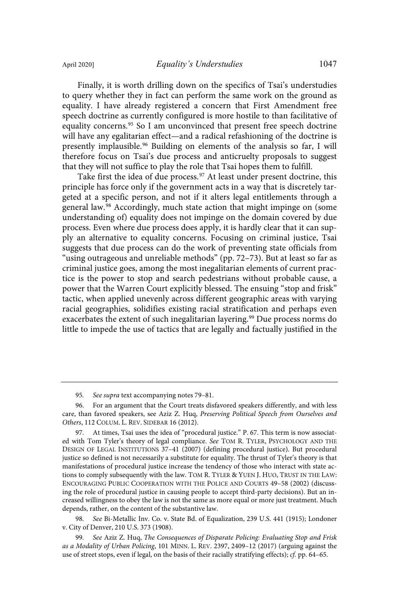to query whether they in fact can perform the same work on the ground as equality. I have already registered a concern that First Amendment free speech doctrine as currently configured is more hostile to than facilitative of equality concerns. <sup>95</sup> So I am unconvinced that present free speech doctrine will have any egalitarian effect—and a radical refashioning of the doctrine is presently implausible.<sup>96</sup> Building on elements of the analysis so far, I will therefore focus on Tsai's due process and anticruelty proposals to suggest that they will not suffice to play the role that Tsai hopes them to fulfill.

Take first the idea of due process.<sup>97</sup> At least under present doctrine, this principle has force only if the government acts in a way that is discretely targeted at a specific person, and not if it alters legal entitlements through a general law.<sup>98</sup> Accordingly, much state action that might impinge on (some understanding of) equality does not impinge on the domain covered by due process. Even where due process does apply, it is hardly clear that it can supply an alternative to equality concerns. Focusing on criminal justice, Tsai suggests that due process can do the work of preventing state officials from "using outrageous and unreliable methods" (pp. 72–73). But at least so far as criminal justice goes, among the most inegalitarian elements of current practice is the power to stop and search pedestrians without probable cause, a power that the Warren Court explicitly blessed. The ensuing "stop and frisk" tactic, when applied unevenly across different geographic areas with varying racial geographies, solidifies existing racial stratification and perhaps even exacerbates the extent of such inegalitarian layering.<sup>99</sup> Due process norms do little to impede the use of tactics that are legally and factually justified in the

<sup>95</sup>. See supra text accompanying notes 79–81.

<sup>96.</sup> For an argument that the Court treats disfavored speakers differently, and with less care, than favored speakers, see Aziz Z. Huq, Preserving Political Speech from Ourselves and Others, 112 COLUM. L. REV. SIDEBAR 16 (2012).

<sup>97.</sup> At times, Tsai uses the idea of "procedural justice." P. 67. This term is now associated with Tom Tyler's theory of legal compliance. See TOM R. TYLER, PSYCHOLOGY AND THE DESIGN OF LEGAL INSTITUTIONS 37–41 (2007) (defining procedural justice). But procedural justice so defined is not necessarily a substitute for equality. The thrust of Tyler's theory is that manifestations of procedural justice increase the tendency of those who interact with state actions to comply subsequently with the law. TOM R. TYLER & YUEN J. HUO, TRUST IN THE LAW: ENCOURAGING PUBLIC COOPERATION WITH THE POLICE AND COURTS 49–58 (2002) (discussing the role of procedural justice in causing people to accept third-party decisions). But an increased willingness to obey the law is not the same as more equal or more just treatment. Much depends, rather, on the content of the substantive law.

<sup>98</sup>. See Bi-Metallic Inv. Co. v. State Bd. of Equalization, 239 U.S. 441 (1915); Londoner v. City of Denver, 210 U.S. 373 (1908).

<sup>99</sup>. See Aziz Z. Huq, The Consequences of Disparate Policing: Evaluating Stop and Frisk as a Modality of Urban Policing, 101 MINN. L. REV. 2397, 2409–12 (2017) (arguing against the use of street stops, even if legal, on the basis of their racially stratifying effects); cf. pp. 64–65.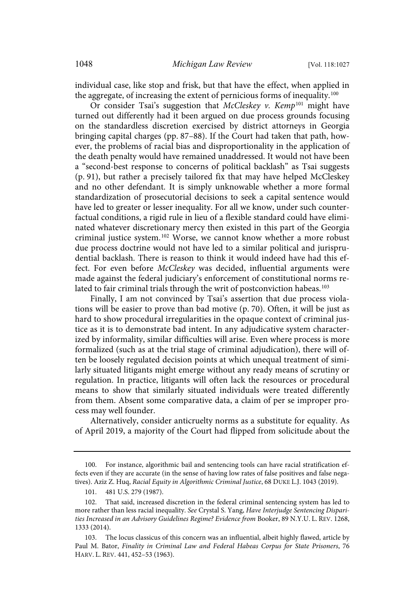individual case, like stop and frisk, but that have the effect, when applied in the aggregate, of increasing the extent of pernicious forms of inequality.<sup>100</sup>

Or consider Tsai's suggestion that McCleskey v. Kemp<sup>101</sup> might have turned out differently had it been argued on due process grounds focusing on the standardless discretion exercised by district attorneys in Georgia bringing capital charges (pp. 87–88). If the Court had taken that path, however, the problems of racial bias and disproportionality in the application of the death penalty would have remained unaddressed. It would not have been a "second-best response to concerns of political backlash" as Tsai suggests (p. 91), but rather a precisely tailored fix that may have helped McCleskey and no other defendant. It is simply unknowable whether a more formal standardization of prosecutorial decisions to seek a capital sentence would have led to greater or lesser inequality. For all we know, under such counterfactual conditions, a rigid rule in lieu of a flexible standard could have eliminated whatever discretionary mercy then existed in this part of the Georgia criminal justice system.<sup>102</sup> Worse, we cannot know whether a more robust due process doctrine would not have led to a similar political and jurisprudential backlash. There is reason to think it would indeed have had this effect. For even before McCleskey was decided, influential arguments were made against the federal judiciary's enforcement of constitutional norms related to fair criminal trials through the writ of postconviction habeas.<sup>103</sup>

Finally, I am not convinced by Tsai's assertion that due process violations will be easier to prove than bad motive (p. 70). Often, it will be just as hard to show procedural irregularities in the opaque context of criminal justice as it is to demonstrate bad intent. In any adjudicative system characterized by informality, similar difficulties will arise. Even where process is more formalized (such as at the trial stage of criminal adjudication), there will often be loosely regulated decision points at which unequal treatment of similarly situated litigants might emerge without any ready means of scrutiny or regulation. In practice, litigants will often lack the resources or procedural means to show that similarly situated individuals were treated differently from them. Absent some comparative data, a claim of per se improper process may well founder.

Alternatively, consider anticruelty norms as a substitute for equality. As of April 2019, a majority of the Court had flipped from solicitude about the

<sup>100.</sup> For instance, algorithmic bail and sentencing tools can have racial stratification effects even if they are accurate (in the sense of having low rates of false positives and false negatives). Aziz Z. Huq, Racial Equity in Algorithmic Criminal Justice, 68 DUKE L.J. 1043 (2019).

<sup>101.</sup> 481 U.S. 279 (1987).

<sup>102.</sup> That said, increased discretion in the federal criminal sentencing system has led to more rather than less racial inequality. See Crystal S. Yang, Have Interjudge Sentencing Disparities Increased in an Advisory Guidelines Regime? Evidence from Booker, 89 N.Y.U. L. REV. 1268, 1333 (2014).

<sup>103.</sup> The locus classicus of this concern was an influential, albeit highly flawed, article by Paul M. Bator, Finality in Criminal Law and Federal Habeas Corpus for State Prisoners, 76 HARV. L. REV. 441, 452–53 (1963).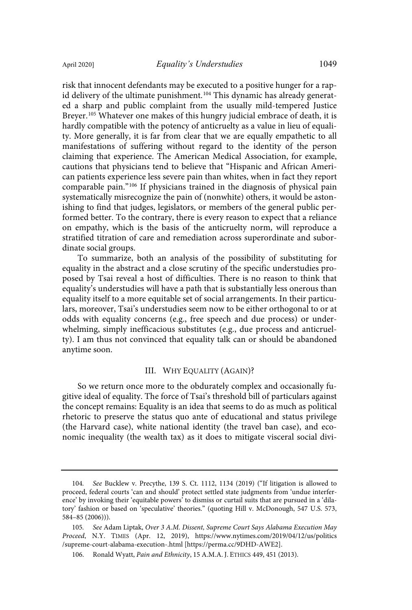risk that innocent defendants may be executed to a positive hunger for a rapid delivery of the ultimate punishment.<sup>104</sup> This dynamic has already generated a sharp and public complaint from the usually mild-tempered Justice Breyer. <sup>105</sup> Whatever one makes of this hungry judicial embrace of death, it is hardly compatible with the potency of anticruelty as a value in lieu of equality. More generally, it is far from clear that we are equally empathetic to all manifestations of suffering without regard to the identity of the person claiming that experience. The American Medical Association, for example, cautions that physicians tend to believe that "Hispanic and African American patients experience less severe pain than whites, when in fact they report comparable pain."<sup>106</sup> If physicians trained in the diagnosis of physical pain systematically misrecognize the pain of (nonwhite) others, it would be astonishing to find that judges, legislators, or members of the general public performed better. To the contrary, there is every reason to expect that a reliance on empathy, which is the basis of the anticruelty norm, will reproduce a stratified titration of care and remediation across superordinate and subordinate social groups.

To summarize, both an analysis of the possibility of substituting for equality in the abstract and a close scrutiny of the specific understudies proposed by Tsai reveal a host of difficulties. There is no reason to think that equality's understudies will have a path that is substantially less onerous than equality itself to a more equitable set of social arrangements. In their particulars, moreover, Tsai's understudies seem now to be either orthogonal to or at odds with equality concerns (e.g., free speech and due process) or underwhelming, simply inefficacious substitutes (e.g., due process and anticruelty). I am thus not convinced that equality talk can or should be abandoned anytime soon.

## III. WHY EQUALITY (AGAIN)?

So we return once more to the obdurately complex and occasionally fugitive ideal of equality. The force of Tsai's threshold bill of particulars against the concept remains: Equality is an idea that seems to do as much as political rhetoric to preserve the status quo ante of educational and status privilege (the Harvard case), white national identity (the travel ban case), and economic inequality (the wealth tax) as it does to mitigate visceral social divi-

<sup>104</sup>. See Bucklew v. Precythe, 139 S. Ct. 1112, 1134 (2019) ("If litigation is allowed to proceed, federal courts 'can and should' protect settled state judgments from 'undue interference' by invoking their 'equitable powers' to dismiss or curtail suits that are pursued in a 'dilatory' fashion or based on 'speculative' theories." (quoting Hill v. McDonough, 547 U.S. 573, 584–85 (2006))).

<sup>105</sup>. See Adam Liptak, Over 3 A.M. Dissent, Supreme Court Says Alabama Execution May Proceed, N.Y. TIMES (Apr. 12, 2019), https://www.nytimes.com/2019/04/12/us/politics /supreme-court-alabama-execution-.html [https://perma.cc/9DHD-AWE2].

<sup>106.</sup> Ronald Wyatt, Pain and Ethnicity, 15 A.M.A. J. ETHICS 449, 451 (2013).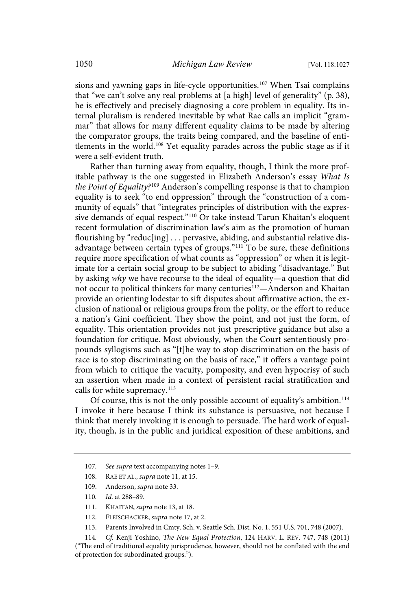sions and yawning gaps in life-cycle opportunities.<sup>107</sup> When Tsai complains that "we can't solve any real problems at [a high] level of generality" (p. 38), he is effectively and precisely diagnosing a core problem in equality. Its internal pluralism is rendered inevitable by what Rae calls an implicit "grammar" that allows for many different equality claims to be made by altering the comparator groups, the traits being compared, and the baseline of entitlements in the world.<sup>108</sup> Yet equality parades across the public stage as if it were a self-evident truth.

Rather than turning away from equality, though, I think the more profitable pathway is the one suggested in Elizabeth Anderson's essay What Is the Point of Equality?<sup>109</sup> Anderson's compelling response is that to champion equality is to seek "to end oppression" through the "construction of a community of equals" that "integrates principles of distribution with the expressive demands of equal respect." <sup>110</sup> Or take instead Tarun Khaitan's eloquent recent formulation of discrimination law's aim as the promotion of human flourishing by "reduc[ing] . . . pervasive, abiding, and substantial relative disadvantage between certain types of groups." <sup>111</sup> To be sure, these definitions require more specification of what counts as "oppression" or when it is legitimate for a certain social group to be subject to abiding "disadvantage." But by asking why we have recourse to the ideal of equality—a question that did not occur to political thinkers for many centuries<sup>112</sup>—Anderson and Khaitan provide an orienting lodestar to sift disputes about affirmative action, the exclusion of national or religious groups from the polity, or the effort to reduce a nation's Gini coefficient. They show the point, and not just the form, of equality. This orientation provides not just prescriptive guidance but also a foundation for critique. Most obviously, when the Court sententiously propounds syllogisms such as "[t]he way to stop discrimination on the basis of race is to stop discriminating on the basis of race," it offers a vantage point from which to critique the vacuity, pomposity, and even hypocrisy of such an assertion when made in a context of persistent racial stratification and calls for white supremacy. 113

Of course, this is not the only possible account of equality's ambition.<sup>114</sup> I invoke it here because I think its substance is persuasive, not because I think that merely invoking it is enough to persuade. The hard work of equality, though, is in the public and juridical exposition of these ambitions, and

<sup>107.</sup> See supra text accompanying notes 1-9.

<sup>108.</sup> RAE ET AL., supra note 11, at 15.

<sup>109.</sup> Anderson, supra note 33.

<sup>110</sup>. Id. at 288–89.

<sup>111.</sup> KHAITAN, supra note 13, at 18.

<sup>112.</sup> FLEISCHACKER, supra note 17, at 2.

<sup>113.</sup> Parents Involved in Cmty. Sch. v. Seattle Sch. Dist. No. 1, 551 U.S. 701, 748 (2007).

<sup>114</sup>. Cf. Kenji Yoshino, The New Equal Protection, 124 HARV. L. REV. 747, 748 (2011) ("The end of traditional equality jurisprudence, however, should not be conflated with the end of protection for subordinated groups.").